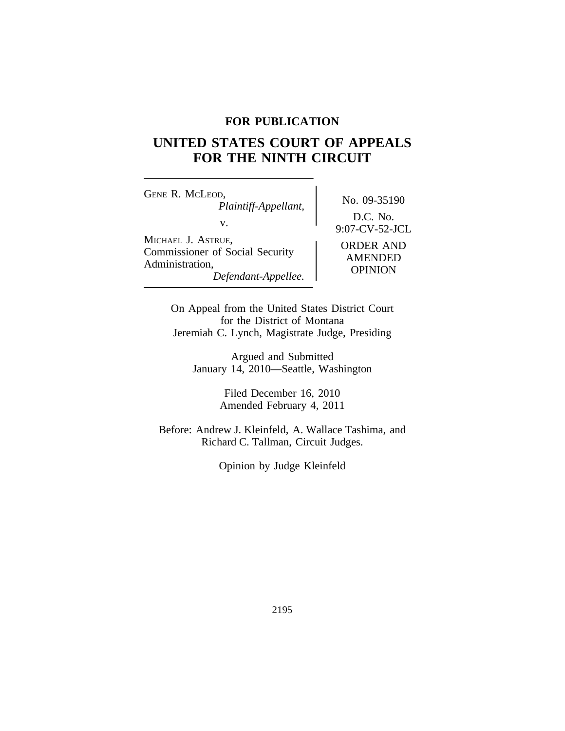## **FOR PUBLICATION**

# **UNITED STATES COURT OF APPEALS FOR THE NINTH CIRCUIT**

<sup>G</sup>ENE R. MCLEOD, No. 09-35190 *Plaintiff-Appellant,* v. 9:07-CV-52-JCL <sup>M</sup>ICHAEL J. ASTRUE, ORDER AND<br>
Commissioner of Social Security AMENDED<br>
Administration, *Defendant-Appellee.* OPINION

D.C. No.

On Appeal from the United States District Court for the District of Montana Jeremiah C. Lynch, Magistrate Judge, Presiding

Argued and Submitted January 14, 2010—Seattle, Washington

> Filed December 16, 2010 Amended February 4, 2011

Before: Andrew J. Kleinfeld, A. Wallace Tashima, and Richard C. Tallman, Circuit Judges.

Opinion by Judge Kleinfeld

2195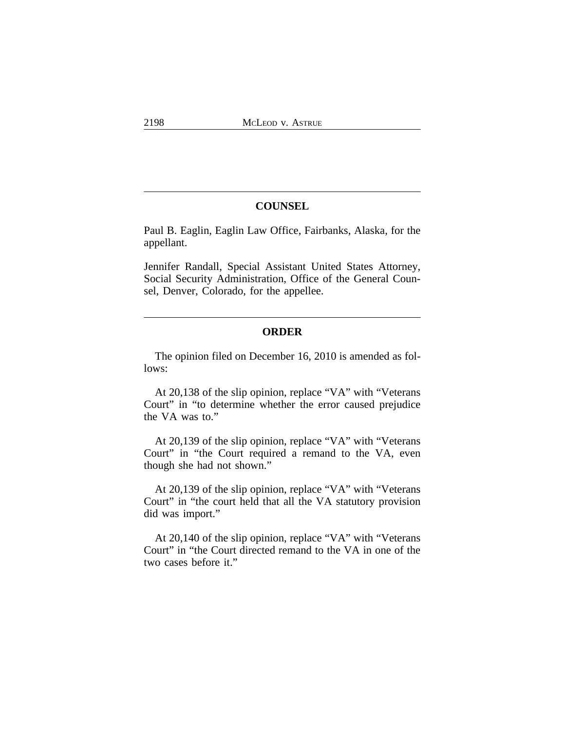## **COUNSEL**

Paul B. Eaglin, Eaglin Law Office, Fairbanks, Alaska, for the appellant.

Jennifer Randall, Special Assistant United States Attorney, Social Security Administration, Office of the General Counsel, Denver, Colorado, for the appellee.

## **ORDER**

The opinion filed on December 16, 2010 is amended as follows:

At 20,138 of the slip opinion, replace "VA" with "Veterans Court" in "to determine whether the error caused prejudice the VA was to."

At 20,139 of the slip opinion, replace "VA" with "Veterans Court" in "the Court required a remand to the VA, even though she had not shown."

At 20,139 of the slip opinion, replace "VA" with "Veterans Court" in "the court held that all the VA statutory provision did was import."

At 20,140 of the slip opinion, replace "VA" with "Veterans Court" in "the Court directed remand to the VA in one of the two cases before it."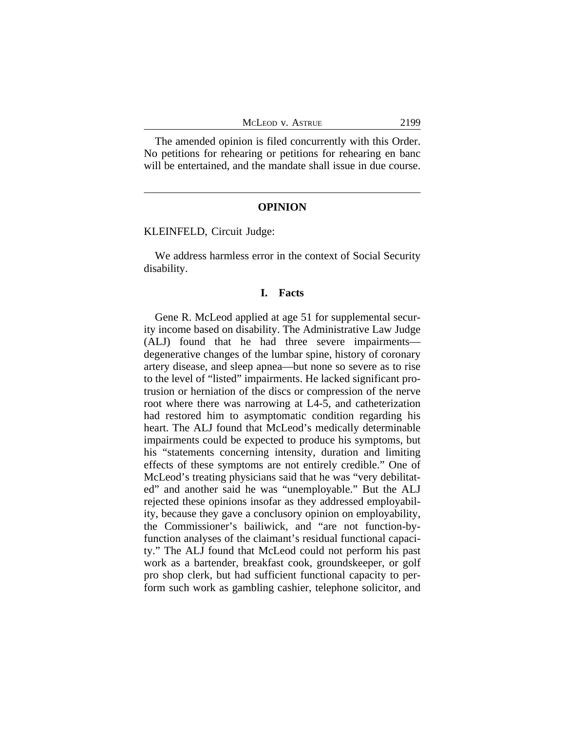The amended opinion is filed concurrently with this Order. No petitions for rehearing or petitions for rehearing en banc will be entertained, and the mandate shall issue in due course.

## **OPINION**

KLEINFELD, Circuit Judge:

We address harmless error in the context of Social Security disability.

#### **I. Facts**

Gene R. McLeod applied at age 51 for supplemental security income based on disability. The Administrative Law Judge (ALJ) found that he had three severe impairments degenerative changes of the lumbar spine, history of coronary artery disease, and sleep apnea—but none so severe as to rise to the level of "listed" impairments. He lacked significant protrusion or herniation of the discs or compression of the nerve root where there was narrowing at L4-5, and catheterization had restored him to asymptomatic condition regarding his heart. The ALJ found that McLeod's medically determinable impairments could be expected to produce his symptoms, but his "statements concerning intensity, duration and limiting effects of these symptoms are not entirely credible." One of McLeod's treating physicians said that he was "very debilitated" and another said he was "unemployable." But the ALJ rejected these opinions insofar as they addressed employability, because they gave a conclusory opinion on employability, the Commissioner's bailiwick, and "are not function-byfunction analyses of the claimant's residual functional capacity." The ALJ found that McLeod could not perform his past work as a bartender, breakfast cook, groundskeeper, or golf pro shop clerk, but had sufficient functional capacity to perform such work as gambling cashier, telephone solicitor, and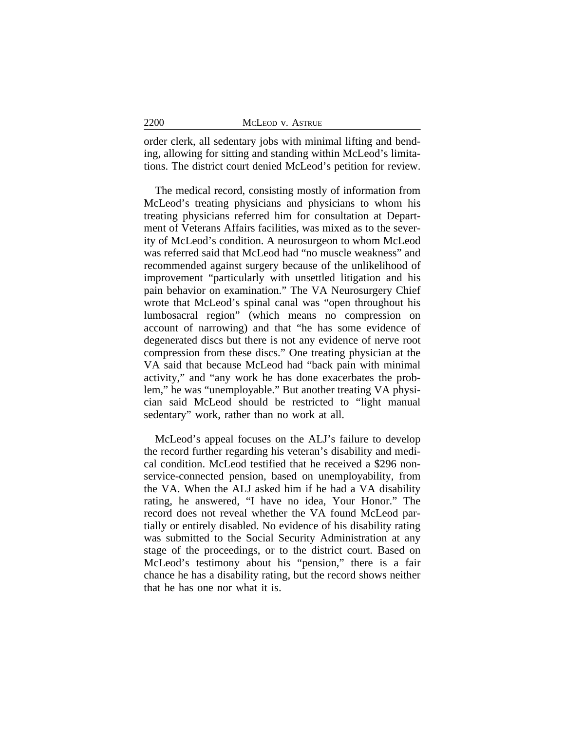| 2200 | MCLEOD V. ASTRUE |
|------|------------------|
|      |                  |

order clerk, all sedentary jobs with minimal lifting and bending, allowing for sitting and standing within McLeod's limitations. The district court denied McLeod's petition for review.

The medical record, consisting mostly of information from McLeod's treating physicians and physicians to whom his treating physicians referred him for consultation at Department of Veterans Affairs facilities, was mixed as to the severity of McLeod's condition. A neurosurgeon to whom McLeod was referred said that McLeod had "no muscle weakness" and recommended against surgery because of the unlikelihood of improvement "particularly with unsettled litigation and his pain behavior on examination." The VA Neurosurgery Chief wrote that McLeod's spinal canal was "open throughout his lumbosacral region" (which means no compression on account of narrowing) and that "he has some evidence of degenerated discs but there is not any evidence of nerve root compression from these discs." One treating physician at the VA said that because McLeod had "back pain with minimal activity," and "any work he has done exacerbates the problem," he was "unemployable." But another treating VA physician said McLeod should be restricted to "light manual sedentary" work, rather than no work at all.

McLeod's appeal focuses on the ALJ's failure to develop the record further regarding his veteran's disability and medical condition. McLeod testified that he received a \$296 nonservice-connected pension, based on unemployability, from the VA. When the ALJ asked him if he had a VA disability rating, he answered, "I have no idea, Your Honor." The record does not reveal whether the VA found McLeod partially or entirely disabled. No evidence of his disability rating was submitted to the Social Security Administration at any stage of the proceedings, or to the district court. Based on McLeod's testimony about his "pension," there is a fair chance he has a disability rating, but the record shows neither that he has one nor what it is.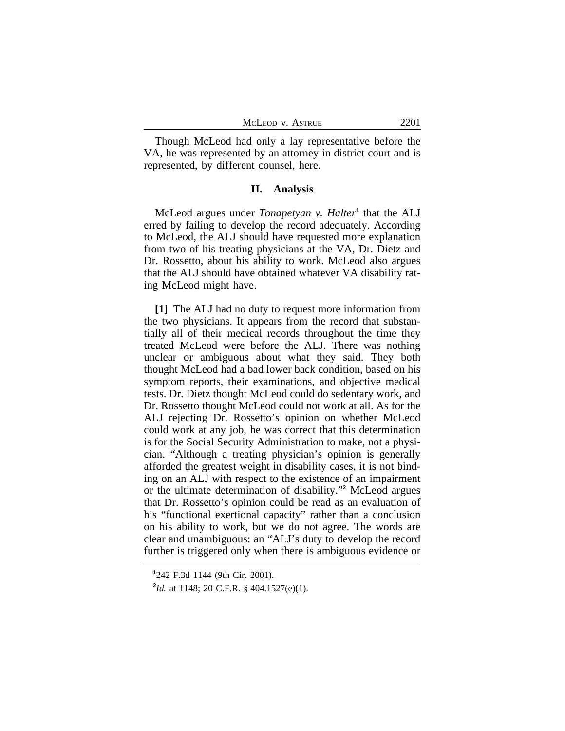| MCLEOD V. ASTRUE | 2201 |
|------------------|------|
|                  |      |

Though McLeod had only a lay representative before the VA, he was represented by an attorney in district court and is represented, by different counsel, here.

#### **II. Analysis**

McLeod argues under *Tonapetyan v. Halter*<sup>1</sup> that the ALJ erred by failing to develop the record adequately. According to McLeod, the ALJ should have requested more explanation from two of his treating physicians at the VA, Dr. Dietz and Dr. Rossetto, about his ability to work. McLeod also argues that the ALJ should have obtained whatever VA disability rating McLeod might have.

**[1]** The ALJ had no duty to request more information from the two physicians. It appears from the record that substantially all of their medical records throughout the time they treated McLeod were before the ALJ. There was nothing unclear or ambiguous about what they said. They both thought McLeod had a bad lower back condition, based on his symptom reports, their examinations, and objective medical tests. Dr. Dietz thought McLeod could do sedentary work, and Dr. Rossetto thought McLeod could not work at all. As for the ALJ rejecting Dr. Rossetto's opinion on whether McLeod could work at any job, he was correct that this determination is for the Social Security Administration to make, not a physician. "Although a treating physician's opinion is generally afforded the greatest weight in disability cases, it is not binding on an ALJ with respect to the existence of an impairment or the ultimate determination of disability." **2** McLeod argues that Dr. Rossetto's opinion could be read as an evaluation of his "functional exertional capacity" rather than a conclusion on his ability to work, but we do not agree. The words are clear and unambiguous: an "ALJ's duty to develop the record further is triggered only when there is ambiguous evidence or

**<sup>1</sup>** 242 F.3d 1144 (9th Cir. 2001).

**<sup>2</sup>** *Id.* at 1148; 20 C.F.R. § 404.1527(e)(1).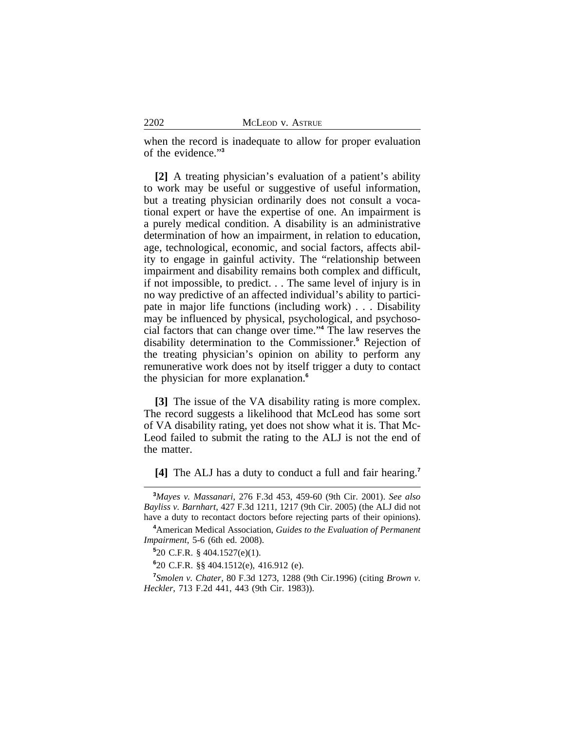when the record is inadequate to allow for proper evaluation of the evidence." **3**

**[2]** A treating physician's evaluation of a patient's ability to work may be useful or suggestive of useful information, but a treating physician ordinarily does not consult a vocational expert or have the expertise of one. An impairment is a purely medical condition. A disability is an administrative determination of how an impairment, in relation to education, age, technological, economic, and social factors, affects ability to engage in gainful activity. The "relationship between impairment and disability remains both complex and difficult, if not impossible, to predict. . . The same level of injury is in no way predictive of an affected individual's ability to participate in major life functions (including work) . . . Disability may be influenced by physical, psychological, and psychosocial factors that can change over time." **4** The law reserves the disability determination to the Commissioner.**<sup>5</sup>** Rejection of the treating physician's opinion on ability to perform any remunerative work does not by itself trigger a duty to contact the physician for more explanation.**<sup>6</sup>**

**[3]** The issue of the VA disability rating is more complex. The record suggests a likelihood that McLeod has some sort of VA disability rating, yet does not show what it is. That Mc-Leod failed to submit the rating to the ALJ is not the end of the matter.

**[4]** The ALJ has a duty to conduct a full and fair hearing.**<sup>7</sup>**

**<sup>3</sup>***Mayes v. Massanari*, 276 F.3d 453, 459-60 (9th Cir. 2001). *See also Bayliss v. Barnhart*, 427 F.3d 1211, 1217 (9th Cir. 2005) (the ALJ did not have a duty to recontact doctors before rejecting parts of their opinions).

**<sup>4</sup>**American Medical Association, *Guides to the Evaluation of Permanent Impairment*, 5-6 (6th ed. 2008).

**<sup>5</sup>** 20 C.F.R. § 404.1527(e)(1).

**<sup>6</sup>** 20 C.F.R. §§ 404.1512(e), 416.912 (e).

**<sup>7</sup>** *Smolen v. Chater*, 80 F.3d 1273, 1288 (9th Cir.1996) (citing *Brown v. Heckler*, 713 F.2d 441, 443 (9th Cir. 1983)).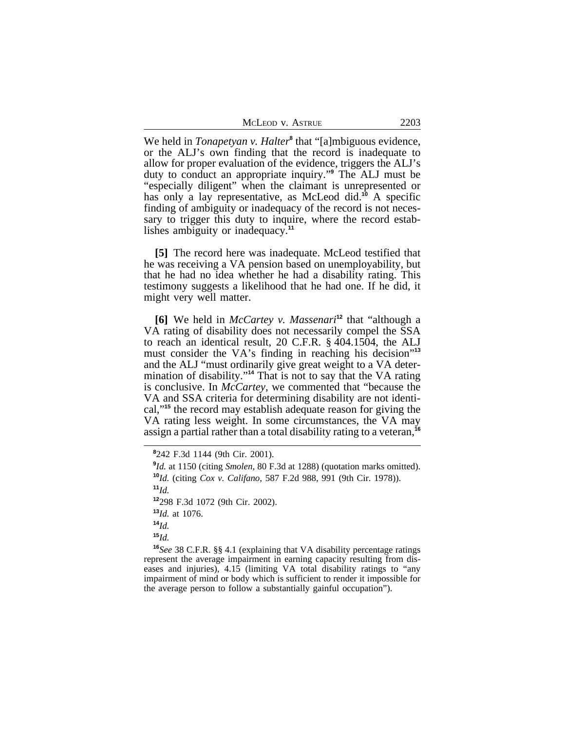| McLeod v. Astrue | 2203 |
|------------------|------|
|                  |      |

We held in *Tonapetyan v. Halter*<sup>8</sup> that "[a]mbiguous evidence, or the ALJ's own finding that the record is inadequate to allow for proper evaluation of the evidence, triggers the ALJ's duty to conduct an appropriate inquiry." **9** The ALJ must be "especially diligent" when the claimant is unrepresented or has only a lay representative, as McLeod did.**<sup>10</sup>** A specific finding of ambiguity or inadequacy of the record is not necessary to trigger this duty to inquire, where the record establishes ambiguity or inadequacy.**<sup>11</sup>**

**[5]** The record here was inadequate. McLeod testified that he was receiving a VA pension based on unemployability, but that he had no idea whether he had a disability rating. This testimony suggests a likelihood that he had one. If he did, it might very well matter.

**[6]** We held in *McCartey v. Massenari***<sup>12</sup>** that "although a VA rating of disability does not necessarily compel the SSA to reach an identical result, 20 C.F.R. § 404.1504, the ALJ must consider the VA's finding in reaching his decision"<sup>13</sup> and the ALJ "must ordinarily give great weight to a VA determination of disability." **<sup>14</sup>** That is not to say that the VA rating is conclusive. In *McCartey*, we commented that "because the VA and SSA criteria for determining disability are not identical,"**<sup>15</sup>** the record may establish adequate reason for giving the VA rating less weight. In some circumstances, the VA may assign a partial rather than a total disability rating to a veteran,**<sup>16</sup>**

 $11<sub>Id.</sub>$ 

**<sup>12</sup>**298 F.3d 1072 (9th Cir. 2002).

**<sup>13</sup>***Id.* at 1076.

**<sup>14</sup>***Id.*

**<sup>15</sup>***Id.*

**<sup>16</sup>***See* 38 C.F.R. §§ 4.1 (explaining that VA disability percentage ratings represent the average impairment in earning capacity resulting from diseases and injuries), 4.15 (limiting VA total disability ratings to "any impairment of mind or body which is sufficient to render it impossible for the average person to follow a substantially gainful occupation").

**<sup>8</sup>** 242 F.3d 1144 (9th Cir. 2001).

<sup>&</sup>lt;sup>9</sup>*Id.* at 1150 (citing *Smolen*, 80 F.3d at 1288) (quotation marks omitted). **<sup>10</sup>***Id.* (citing *Cox v. Califano*, 587 F.2d 988, 991 (9th Cir. 1978)).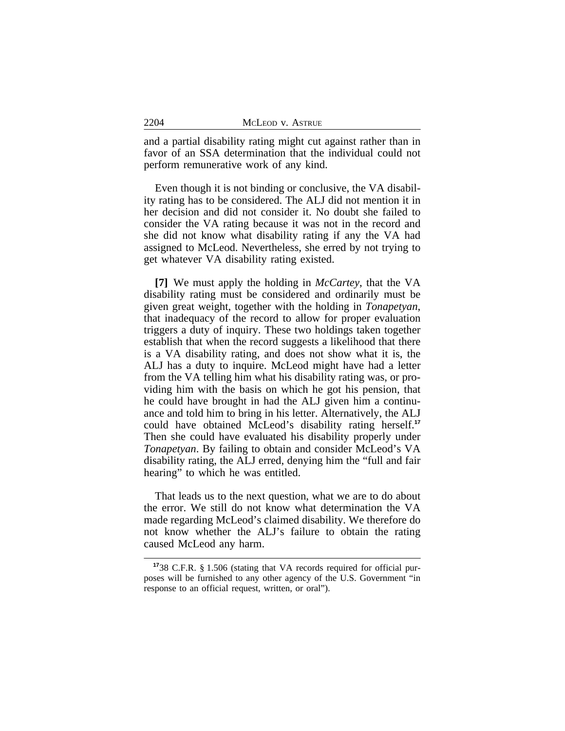and a partial disability rating might cut against rather than in favor of an SSA determination that the individual could not perform remunerative work of any kind.

Even though it is not binding or conclusive, the VA disability rating has to be considered. The ALJ did not mention it in her decision and did not consider it. No doubt she failed to consider the VA rating because it was not in the record and she did not know what disability rating if any the VA had assigned to McLeod. Nevertheless, she erred by not trying to get whatever VA disability rating existed.

**[7]** We must apply the holding in *McCartey*, that the VA disability rating must be considered and ordinarily must be given great weight, together with the holding in *Tonapetyan*, that inadequacy of the record to allow for proper evaluation triggers a duty of inquiry. These two holdings taken together establish that when the record suggests a likelihood that there is a VA disability rating, and does not show what it is, the ALJ has a duty to inquire. McLeod might have had a letter from the VA telling him what his disability rating was, or providing him with the basis on which he got his pension, that he could have brought in had the ALJ given him a continuance and told him to bring in his letter. Alternatively, the ALJ could have obtained McLeod's disability rating herself.**<sup>17</sup>** Then she could have evaluated his disability properly under *Tonapetyan*. By failing to obtain and consider McLeod's VA disability rating, the ALJ erred, denying him the "full and fair hearing" to which he was entitled.

That leads us to the next question, what we are to do about the error. We still do not know what determination the VA made regarding McLeod's claimed disability. We therefore do not know whether the ALJ's failure to obtain the rating caused McLeod any harm.

**<sup>17</sup>**38 C.F.R. § 1.506 (stating that VA records required for official purposes will be furnished to any other agency of the U.S. Government "in response to an official request, written, or oral").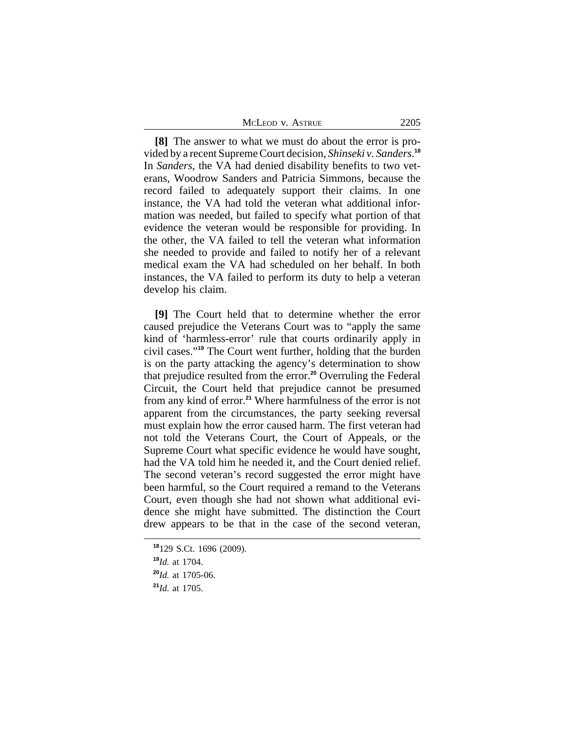**[8]** The answer to what we must do about the error is provided by a recent Supreme Court decision, *Shinseki v. Sanders*. **18** In *Sanders*, the VA had denied disability benefits to two veterans, Woodrow Sanders and Patricia Simmons, because the record failed to adequately support their claims. In one instance, the VA had told the veteran what additional information was needed, but failed to specify what portion of that evidence the veteran would be responsible for providing. In the other, the VA failed to tell the veteran what information she needed to provide and failed to notify her of a relevant medical exam the VA had scheduled on her behalf. In both instances, the VA failed to perform its duty to help a veteran develop his claim.

**[9]** The Court held that to determine whether the error caused prejudice the Veterans Court was to "apply the same kind of 'harmless-error' rule that courts ordinarily apply in civil cases." **<sup>19</sup>** The Court went further, holding that the burden is on the party attacking the agency's determination to show that prejudice resulted from the error.**<sup>20</sup>** Overruling the Federal Circuit, the Court held that prejudice cannot be presumed from any kind of error.**<sup>21</sup>** Where harmfulness of the error is not apparent from the circumstances, the party seeking reversal must explain how the error caused harm. The first veteran had not told the Veterans Court, the Court of Appeals, or the Supreme Court what specific evidence he would have sought, had the VA told him he needed it, and the Court denied relief. The second veteran's record suggested the error might have been harmful, so the Court required a remand to the Veterans Court, even though she had not shown what additional evidence she might have submitted. The distinction the Court drew appears to be that in the case of the second veteran,

**<sup>18</sup>**129 S.Ct. 1696 (2009). **<sup>19</sup>***Id.* at 1704. **<sup>20</sup>***Id.* at 1705-06. **<sup>21</sup>***Id.* at 1705.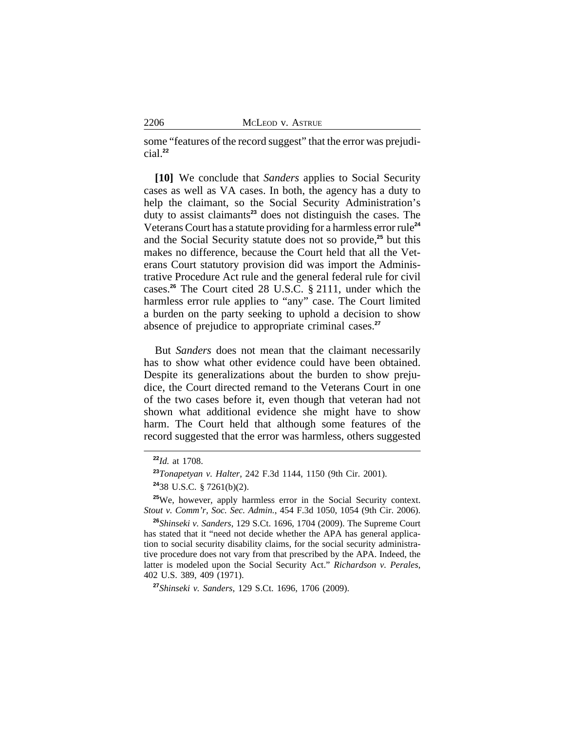some "features of the record suggest" that the error was prejudicial.**<sup>22</sup>**

**[10]** We conclude that *Sanders* applies to Social Security cases as well as VA cases. In both, the agency has a duty to help the claimant, so the Social Security Administration's duty to assist claimants**<sup>23</sup>** does not distinguish the cases. The Veterans Court has a statute providing for a harmless error rule**<sup>24</sup>** and the Social Security statute does not so provide,**<sup>25</sup>** but this makes no difference, because the Court held that all the Veterans Court statutory provision did was import the Administrative Procedure Act rule and the general federal rule for civil cases.**<sup>26</sup>** The Court cited 28 U.S.C. § 2111, under which the harmless error rule applies to "any" case. The Court limited a burden on the party seeking to uphold a decision to show absence of prejudice to appropriate criminal cases.**<sup>27</sup>**

But *Sanders* does not mean that the claimant necessarily has to show what other evidence could have been obtained. Despite its generalizations about the burden to show prejudice, the Court directed remand to the Veterans Court in one of the two cases before it, even though that veteran had not shown what additional evidence she might have to show harm. The Court held that although some features of the record suggested that the error was harmless, others suggested

**<sup>22</sup>***Id.* at 1708.

**<sup>23</sup>***Tonapetyan v. Halter*, 242 F.3d 1144, 1150 (9th Cir. 2001).

**<sup>24</sup>**38 U.S.C. § 7261(b)(2).

**<sup>25</sup>**We, however, apply harmless error in the Social Security context. *Stout v. Comm'r, Soc. Sec. Admin.*, 454 F.3d 1050, 1054 (9th Cir. 2006).

**<sup>26</sup>***Shinseki v. Sanders*, 129 S.Ct. 1696, 1704 (2009). The Supreme Court has stated that it "need not decide whether the APA has general application to social security disability claims, for the social security administrative procedure does not vary from that prescribed by the APA. Indeed, the latter is modeled upon the Social Security Act." *Richardson v. Perales*, 402 U.S. 389, 409 (1971).

**<sup>27</sup>***Shinseki v. Sanders*, 129 S.Ct. 1696, 1706 (2009).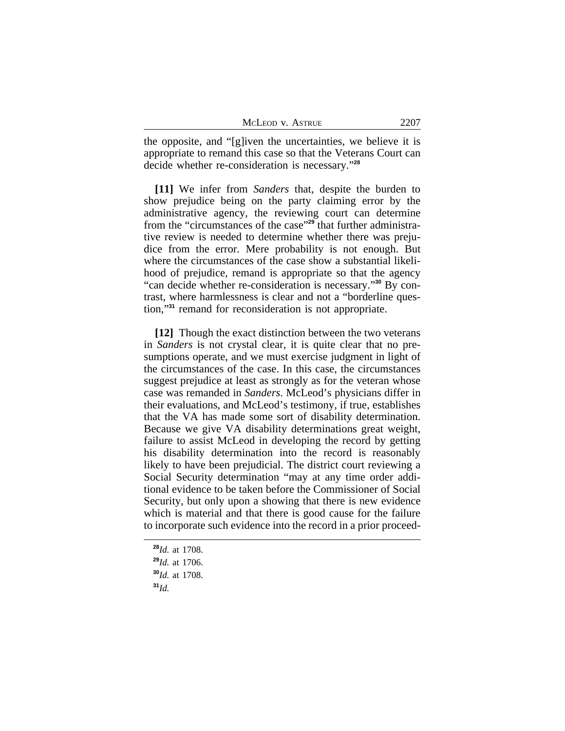| MCLEOD V. ASTRUE |  |  |  | 2207 |
|------------------|--|--|--|------|
|------------------|--|--|--|------|

the opposite, and "[g]iven the uncertainties, we believe it is appropriate to remand this case so that the Veterans Court can decide whether re-consideration is necessary." **28**

**[11]** We infer from *Sanders* that, despite the burden to show prejudice being on the party claiming error by the administrative agency, the reviewing court can determine from the "circumstances of the case"<sup>29</sup> that further administrative review is needed to determine whether there was prejudice from the error. Mere probability is not enough. But where the circumstances of the case show a substantial likelihood of prejudice, remand is appropriate so that the agency "can decide whether re-consideration is necessary." **30** By contrast, where harmlessness is clear and not a "borderline question,"**<sup>31</sup>** remand for reconsideration is not appropriate.

**[12]** Though the exact distinction between the two veterans in *Sanders* is not crystal clear, it is quite clear that no presumptions operate, and we must exercise judgment in light of the circumstances of the case. In this case, the circumstances suggest prejudice at least as strongly as for the veteran whose case was remanded in *Sanders*. McLeod's physicians differ in their evaluations, and McLeod's testimony, if true, establishes that the VA has made some sort of disability determination. Because we give VA disability determinations great weight, failure to assist McLeod in developing the record by getting his disability determination into the record is reasonably likely to have been prejudicial. The district court reviewing a Social Security determination "may at any time order additional evidence to be taken before the Commissioner of Social Security, but only upon a showing that there is new evidence which is material and that there is good cause for the failure to incorporate such evidence into the record in a prior proceed-

**<sup>28</sup>***Id.* at 1708.

**<sup>29</sup>***Id.* at 1706.

**<sup>30</sup>***Id.* at 1708.

**<sup>31</sup>***Id.*